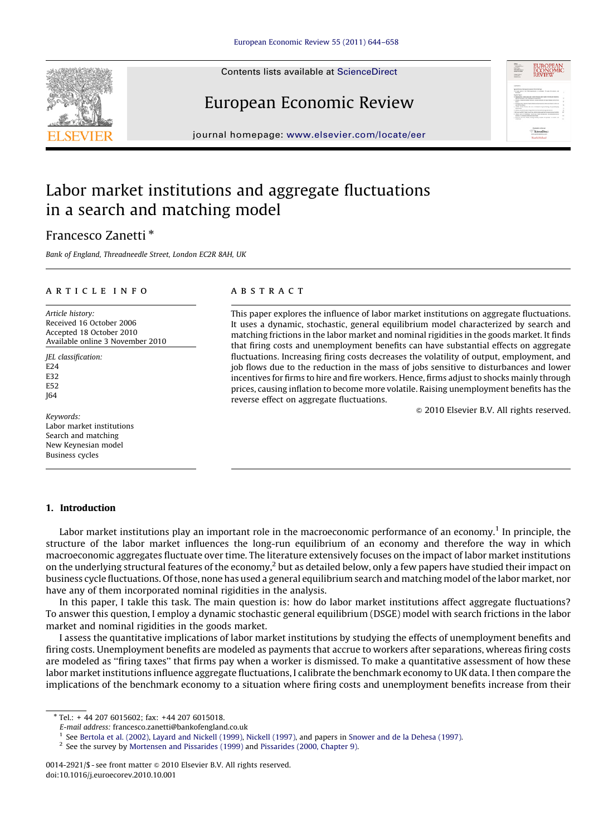Contents lists available at ScienceDirect





# European Economic Review

journal homepage: <www.elsevier.com/locate/eer>

# Labor market institutions and aggregate fluctuations in a search and matching model

# Francesco Zanetti \*

Bank of England, Threadneedle Street, London EC2R 8AH, UK

## article info

Article history: Received 16 October 2006 Accepted 18 October 2010 Available online 3 November 2010

JEL classification: E24 E32 E52 J64

Keywords: Labor market institutions Search and matching New Keynesian model Business cycles

## **ABSTRACT**

This paper explores the influence of labor market institutions on aggregate fluctuations. It uses a dynamic, stochastic, general equilibrium model characterized by search and matching frictions in the labor market and nominal rigidities in the goods market. It finds that firing costs and unemployment benefits can have substantial effects on aggregate fluctuations. Increasing firing costs decreases the volatility of output, employment, and job flows due to the reduction in the mass of jobs sensitive to disturbances and lower incentives for firms to hire and fire workers. Hence, firms adjust to shocks mainly through prices, causing inflation to become more volatile. Raising unemployment benefits has the reverse effect on aggregate fluctuations.

 $\odot$  2010 Elsevier B.V. All rights reserved.

## 1. Introduction

Labor market institutions play an important role in the macroeconomic performance of an economy.<sup>1</sup> In principle, the structure of the labor market influences the long-run equilibrium of an economy and therefore the way in which macroeconomic aggregates fluctuate over time. The literature extensively focuses on the impact of labor market institutions on the underlying structural features of the economy,<sup>2</sup> but as detailed below, only a few papers have studied their impact on business cycle fluctuations. Of those, none has used a general equilibrium search and matching model of the labor market, nor have any of them incorporated nominal rigidities in the analysis.

In this paper, I takle this task. The main question is: how do labor market institutions affect aggregate fluctuations? To answer this question, I employ a dynamic stochastic general equilibrium (DSGE) model with search frictions in the labor market and nominal rigidities in the goods market.

I assess the quantitative implications of labor market institutions by studying the effects of unemployment benefits and firing costs. Unemployment benefits are modeled as payments that accrue to workers after separations, whereas firing costs are modeled as ''firing taxes'' that firms pay when a worker is dismissed. To make a quantitative assessment of how these labor market institutions influence aggregate fluctuations, I calibrate the benchmark economy to UK data. I then compare the implications of the benchmark economy to a situation where firing costs and unemployment benefits increase from their

<sup>-</sup> Tel.: + 44 207 6015602; fax: +44 207 6015018.

E-mail address: [francesco.zanetti@bankofengland.co.uk](mailto:francesco.zanetti@bankofengland.co.uk)

<sup>1</sup> See [Bertola et al. \(2002\)](#page-14-0), [Layard and Nickell \(1999\)](#page-14-0), [Nickell \(1997\)](#page-14-0), and papers in [Snower and de la Dehesa \(1997\).](#page-14-0)

<sup>2</sup> See the survey by [Mortensen and Pissarides \(1999\)](#page-14-0) and [Pissarides \(2000, Chapter 9\)](#page-14-0).

<sup>0014-2921/\$ -</sup> see front matter  $\odot$  2010 Elsevier B.V. All rights reserved. doi:[10.1016/j.euroecorev.2010.10.001](dx.doi.org/10.1016/j.euroecorev.2010.10.001)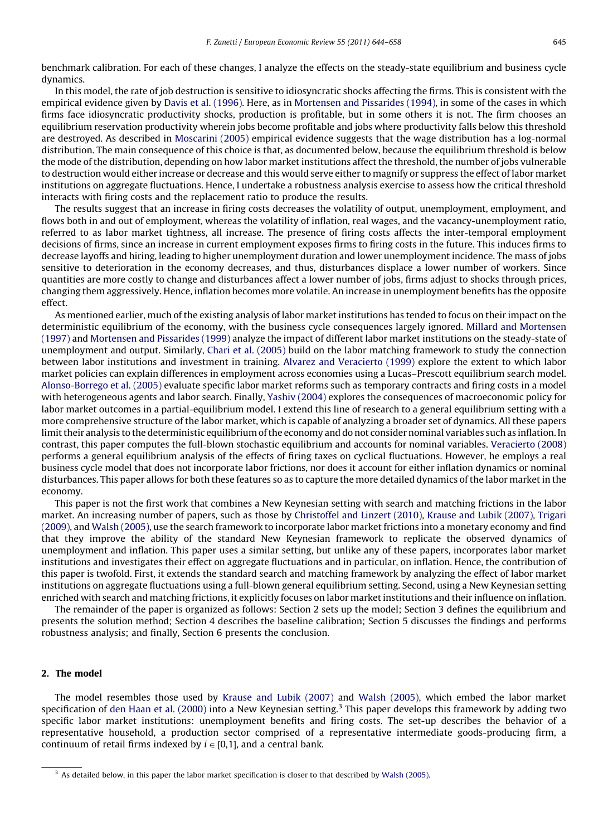benchmark calibration. For each of these changes, I analyze the effects on the steady-state equilibrium and business cycle dynamics.

In this model, the rate of job destruction is sensitive to idiosyncratic shocks affecting the firms. This is consistent with the empirical evidence given by [Davis et al. \(1996\)](#page-14-0). Here, as in [Mortensen and Pissarides \(1994\),](#page-14-0) in some of the cases in which firms face idiosyncratic productivity shocks, production is profitable, but in some others it is not. The firm chooses an equilibrium reservation productivity wherein jobs become profitable and jobs where productivity falls below this threshold are destroyed. As described in [Moscarini \(2005\)](#page-14-0) empirical evidence suggests that the wage distribution has a log-normal distribution. The main consequence of this choice is that, as documented below, because the equilibrium threshold is below the mode of the distribution, depending on how labor market institutions affect the threshold, the number of jobs vulnerable to destruction would either increase or decrease and this would serve either to magnify or suppress the effect of labor market institutions on aggregate fluctuations. Hence, I undertake a robustness analysis exercise to assess how the critical threshold interacts with firing costs and the replacement ratio to produce the results.

The results suggest that an increase in firing costs decreases the volatility of output, unemployment, employment, and flows both in and out of employment, whereas the volatility of inflation, real wages, and the vacancy-unemployment ratio, referred to as labor market tightness, all increase. The presence of firing costs affects the inter-temporal employment decisions of firms, since an increase in current employment exposes firms to firing costs in the future. This induces firms to decrease layoffs and hiring, leading to higher unemployment duration and lower unemployment incidence. The mass of jobs sensitive to deterioration in the economy decreases, and thus, disturbances displace a lower number of workers. Since quantities are more costly to change and disturbances affect a lower number of jobs, firms adjust to shocks through prices, changing them aggressively. Hence, inflation becomes more volatile. An increase in unemployment benefits has the opposite effect.

As mentioned earlier, much of the existing analysis of labor market institutions has tended to focus on their impact on the deterministic equilibrium of the economy, with the business cycle consequences largely ignored. [Millard and Mortensen](#page-14-0) [\(1997\)](#page-14-0) and [Mortensen and Pissarides \(1999\)](#page-14-0) analyze the impact of different labor market institutions on the steady-state of unemployment and output. Similarly, [Chari et al. \(2005\)](#page-14-0) build on the labor matching framework to study the connection between labor institutions and investment in training. [Alvarez and Veracierto \(1999\)](#page-13-0) explore the extent to which labor market policies can explain differences in employment across economies using a Lucas–Prescott equilibrium search model. [Alonso-Borrego et al. \(2005\)](#page-13-0) evaluate specific labor market reforms such as temporary contracts and firing costs in a model with heterogeneous agents and labor search. Finally, [Yashiv \(2004\)](#page-14-0) explores the consequences of macroeconomic policy for labor market outcomes in a partial-equilibrium model. I extend this line of research to a general equilibrium setting with a more comprehensive structure of the labor market, which is capable of analyzing a broader set of dynamics. All these papers limit their analysis to the deterministic equilibrium of the economy and do not consider nominal variables such as inflation. In contrast, this paper computes the full-blown stochastic equilibrium and accounts for nominal variables. [Veracierto \(2008\)](#page-14-0) performs a general equilibrium analysis of the effects of firing taxes on cyclical fluctuations. However, he employs a real business cycle model that does not incorporate labor frictions, nor does it account for either inflation dynamics or nominal disturbances. This paper allows for both these features so as to capture the more detailed dynamics of the labor market in the economy.

This paper is not the first work that combines a New Keynesian setting with search and matching frictions in the labor market. An increasing number of papers, such as those by [Christoffel and Linzert \(2010\)](#page-14-0), [Krause and Lubik \(2007\)](#page-14-0), [Trigari](#page-14-0) [\(2009\)](#page-14-0), and [Walsh \(2005\),](#page-14-0) use the search framework to incorporate labor market frictions into a monetary economy and find that they improve the ability of the standard New Keynesian framework to replicate the observed dynamics of unemployment and inflation. This paper uses a similar setting, but unlike any of these papers, incorporates labor market institutions and investigates their effect on aggregate fluctuations and in particular, on inflation. Hence, the contribution of this paper is twofold. First, it extends the standard search and matching framework by analyzing the effect of labor market institutions on aggregate fluctuations using a full-blown general equilibrium setting. Second, using a New Keynesian setting enriched with search and matching frictions, it explicitly focuses on labor market institutions and their influence on inflation.

The remainder of the paper is organized as follows: Section 2 sets up the model; Section 3 defines the equilibrium and presents the solution method; Section 4 describes the baseline calibration; Section 5 discusses the findings and performs robustness analysis; and finally, Section 6 presents the conclusion.

## 2. The model

The model resembles those used by [Krause and Lubik \(2007\)](#page-14-0) and [Walsh \(2005\)](#page-14-0), which embed the labor market specification of [den Haan et al. \(2000\)](#page-14-0) into a New Keynesian setting.<sup>3</sup> This paper develops this framework by adding two specific labor market institutions: unemployment benefits and firing costs. The set-up describes the behavior of a representative household, a production sector comprised of a representative intermediate goods-producing firm, a continuum of retail firms indexed by  $i \in [0,1]$ , and a central bank.

<sup>&</sup>lt;sup>3</sup> As detailed below, in this paper the labor market specification is closer to that described by [Walsh \(2005\).](#page-14-0)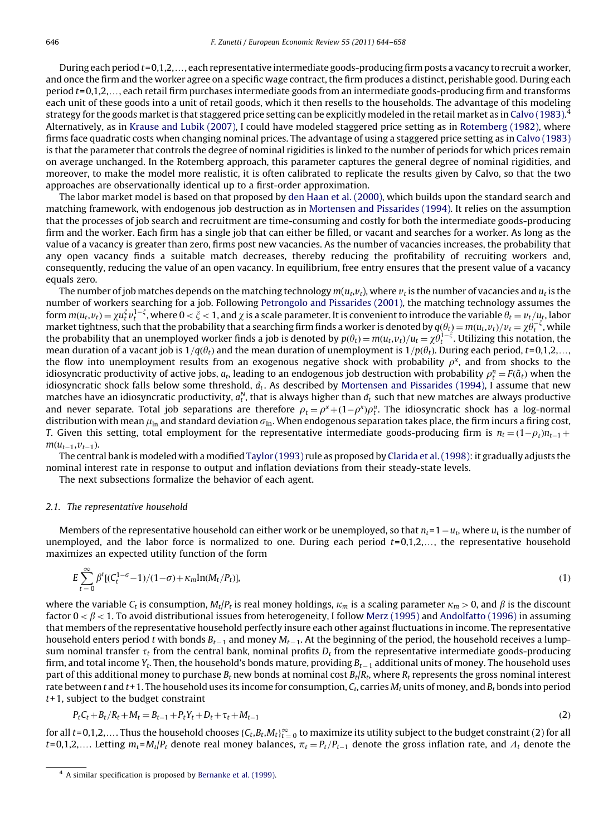During each period  $t=0,1,2,...$ , each representative intermediate goods-producing firm posts a vacancy to recruit a worker, and once the firm and the worker agree on a specific wage contract, the firm produces a distinct, perishable good. During each period  $t=0,1,2,\ldots$ , each retail firm purchases intermediate goods from an intermediate goods-producing firm and transforms each unit of these goods into a unit of retail goods, which it then resells to the households. The advantage of this modeling strategy for the goods market is that staggered price setting can be explicitly modeled in the retail market as in [Calvo \(1983\).](#page-14-0) $^4$ Alternatively, as in [Krause and Lubik \(2007\)](#page-14-0), I could have modeled staggered price setting as in [Rotemberg \(1982\),](#page-14-0) where firms face quadratic costs when changing nominal prices. The advantage of using a staggered price setting as in [Calvo \(1983\)](#page-14-0) is that the parameter that controls the degree of nominal rigidities is linked to the number of periods for which prices remain on average unchanged. In the Rotemberg approach, this parameter captures the general degree of nominal rigidities, and moreover, to make the model more realistic, it is often calibrated to replicate the results given by Calvo, so that the two approaches are observationally identical up to a first-order approximation.

The labor market model is based on that proposed by [den Haan et al. \(2000\),](#page-14-0) which builds upon the standard search and matching framework, with endogenous job destruction as in [Mortensen and Pissarides \(1994\)](#page-14-0). It relies on the assumption that the processes of job search and recruitment are time-consuming and costly for both the intermediate goods-producing firm and the worker. Each firm has a single job that can either be filled, or vacant and searches for a worker. As long as the value of a vacancy is greater than zero, firms post new vacancies. As the number of vacancies increases, the probability that any open vacancy finds a suitable match decreases, thereby reducing the profitability of recruiting workers and, consequently, reducing the value of an open vacancy. In equilibrium, free entry ensures that the present value of a vacancy equals zero.

The number of job matches depends on the matching technology  $m(u_t, v_t)$ , where  $v_t$  is the number of vacancies and  $u_t$  is the number of workers searching for a job. Following [Petrongolo and Pissarides \(2001\),](#page-14-0) the matching technology assumes the form  $m(u_t,v_t)=\chi u_t^\xi v_t^{1-\xi}$  , where  $0<\xi< 1$  , and  $\chi$  is a scale parameter. It is convenient to introduce the variable  $\theta_t=v_t/u_t$  , labor market tightness, such that the probability that a searching firm finds a worker is denoted by  $q(\theta_t)=m(u_t,v_t)/v_t=\chi\theta_t^{-\xi}$  , while the probability that an unemployed worker finds a job is denoted by  $p(\theta_t)=m(u_t,v_t)/u_t=\chi\theta_t^{1-\xi}$ . Utilizing this notation, the mean duration of a vacant job is  $1/q(\theta_t)$  and the mean duration of unemployment is  $1/p(\theta_t)$ . During each period,  $t=0,1,2,\ldots$ the flow into unemployment results from an exogenous negative shock with probability  $\rho^x$ , and from shocks to the idiosyncratic productivity of active jobs,  $a_t$ , leading to an endogenous job destruction with probability  $\rho_t^n = F(\tilde{a}_t)$  when the idiosyncratic shock falls below some threshold,  $\tilde{a_t}$ . As described by [Mortensen and Pissarides \(1994\),](#page-14-0) I assume that new matches have an idiosyncratic productivity,  $a_t^N$ , that is always higher than  $\tilde a_t$  such that new matches are always productive and never separate. Total job separations are therefore  $\rho_t = \rho^x + (1-\rho^x)\rho_t^n$ . The idiosyncratic shock has a log-normal distribution with mean  $\mu_{\text{ln}}$  and standard deviation  $\sigma_{\text{ln}}$ . When endogenous separation takes place, the firm incurs a firing cost, T. Given this setting, total employment for the representative intermediate goods-producing firm is  $n_t = (1 - \rho_t)n_{t-1}$  +  $m(u_{t-1},v_{t-1}).$ 

The central bank is modeled with a modified [Taylor \(1993\)](#page-14-0) rule as proposed by [Clarida et al. \(1998\)](#page-14-0): it gradually adjusts the nominal interest rate in response to output and inflation deviations from their steady-state levels.

The next subsections formalize the behavior of each agent.

## 2.1. The representative household

Members of the representative household can either work or be unemployed, so that  $n_t=1-u_t$ , where  $u_t$  is the number of unemployed, and the labor force is normalized to one. During each period  $t=0,1,2,...$ , the representative household maximizes an expected utility function of the form

$$
E\sum_{t=0}^{\infty} \beta^{t} [(C_{t}^{1-\sigma}-1)/(1-\sigma)+\kappa_{m} \ln(M_{t}/P_{t})],
$$
\n(1)

where the variable C<sub>t</sub> is consumption,  $M_t/P_t$  is real money holdings,  $\kappa_m$  is a scaling parameter  $\kappa_m > 0$ , and  $\beta$  is the discount factor  $0 < \beta < 1$ . To avoid distributional issues from heterogeneity, I follow [Merz \(1995\)](#page-14-0) and [Andolfatto \(1996\)](#page-13-0) in assuming that members of the representative household perfectly insure each other against fluctuations in income. The representative household enters period t with bonds  $B_{t-1}$  and money  $M_{t-1}$ . At the beginning of the period, the household receives a lumpsum nominal transfer  $\tau_t$  from the central bank, nominal profits  $D_t$  from the representative intermediate goods-producing firm, and total income  $Y_t$ . Then, the household's bonds mature, providing  $B_{t-1}$  additional units of money. The household uses part of this additional money to purchase  $B_t$  new bonds at nominal cost  $B_t/R_t$ , where  $R_t$  represents the gross nominal interest rate between t and t+1. The household uses its income for consumption,  $C_t$ , carries  $M_t$  units of money, and  $B_t$  bonds into period  $t+1$ , subject to the budget constraint

$$
P_t C_t + B_t / R_t + M_t = B_{t-1} + P_t Y_t + D_t + \tau_t + M_{t-1}
$$
\n(2)

for all t=0,1,2,…. Thus the household chooses {C<sub>t</sub>,B<sub>t</sub>,M<sub>t)</sub> $_{t=0}^\infty$  to maximize its utility subject to the budget constraint (2) for all  $t=0,1,2,...$  Letting  $m_t=M_t/P_t$  denote real money balances,  $\pi_t=P_t/P_{t-1}$  denote the gross inflation rate, and  $\Lambda_t$  denote the

<sup>4</sup> A similar specification is proposed by [Bernanke et al. \(1999\)](#page-13-0).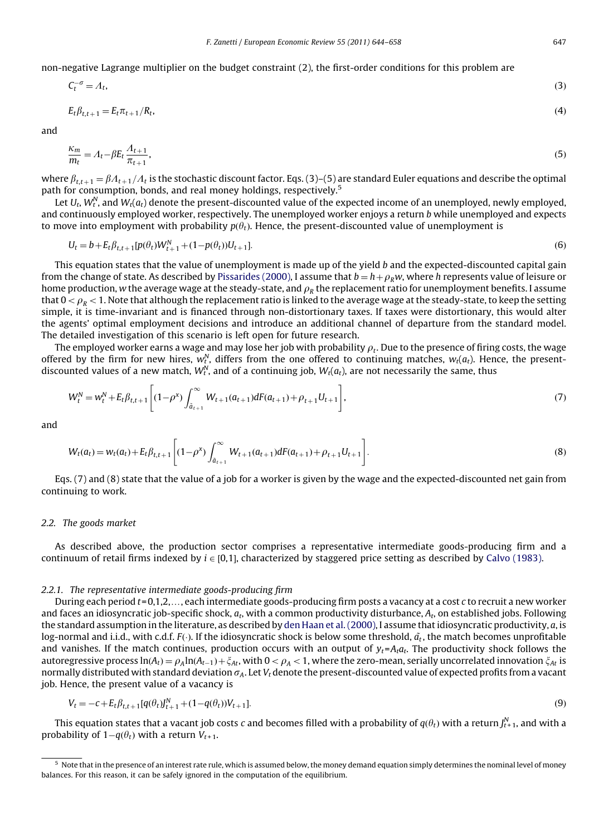non-negative Lagrange multiplier on the budget constraint (2), the first-order conditions for this problem are

$$
C_t^{-\sigma} = A_t,\tag{3}
$$

$$
E_t\beta_{t,t+1} = E_t \pi_{t+1}/R_t, \tag{4}
$$

and

$$
\frac{\kappa_m}{m_t} = A_t - \beta E_t \frac{A_{t+1}}{\pi_{t+1}},\tag{5}
$$

where  $\beta_{t,t+1} = \beta A_{t+1}/A_t$  is the stochastic discount factor. Eqs. (3)–(5) are standard Euler equations and describe the optimal path for consumption, bonds, and real money holdings, respectively.<sup>5</sup>

Let  $U_t$ , W $_t^N$ , and  $W_t(a_t)$  denote the present-discounted value of the expected income of an unemployed, newly employed, and continuously employed worker, respectively. The unemployed worker enjoys a return b while unemployed and expects to move into employment with probability  $p(\theta_t)$ . Hence, the present-discounted value of unemployment is

$$
U_t = b + E_t \beta_{t,t+1} [p(\theta_t) W_{t+1}^N + (1 - p(\theta_t)) U_{t+1}].
$$
\n(6)

This equation states that the value of unemployment is made up of the yield b and the expected-discounted capital gain from the change of state. As described by [Pissarides \(2000\)](#page-14-0), I assume that  $b = h + \rho_R w$ , where h represents value of leisure or home production, w the average wage at the steady-state, and  $\rho_R$  the replacement ratio for unemployment benefits. I assume that  $0 < \rho_p < 1$ . Note that although the replacement ratio is linked to the average wage at the steady-state, to keep the setting simple, it is time-invariant and is financed through non-distortionary taxes. If taxes were distortionary, this would alter the agents' optimal employment decisions and introduce an additional channel of departure from the standard model. The detailed investigation of this scenario is left open for future research.

The employed worker earns a wage and may lose her job with probability  $\rho_r$ . Due to the presence of firing costs, the wage offered by the firm for new hires,  $w_t^N$ , differs from the one offered to continuing matches,  $w_t(a_t)$ . Hence, the presentdiscounted values of a new match,  $W_t^{\mathsf{N}}$ , and of a continuing job,  $W_t(a_t)$ , are not necessarily the same, thus

$$
W_t^N = w_t^N + E_t \beta_{t,t+1} \left[ (1 - \rho^x) \int_{\tilde{a}_{t+1}}^{\infty} W_{t+1}(a_{t+1}) dF(a_{t+1}) + \rho_{t+1} U_{t+1} \right],
$$
\n(7)

and

$$
W_t(a_t) = w_t(a_t) + E_t \beta_{t,t+1} \left[ (1 - \rho^x) \int_{\tilde{a}_{t+1}}^{\infty} W_{t+1}(a_{t+1}) dF(a_{t+1}) + \rho_{t+1} U_{t+1} \right].
$$
\n(8)

Eqs. (7) and (8) state that the value of a job for a worker is given by the wage and the expected-discounted net gain from continuing to work.

#### 2.2. The goods market

As described above, the production sector comprises a representative intermediate goods-producing firm and a continuum of retail firms indexed by  $i\in [0,1]$ , characterized by staggered price setting as described by [Calvo \(1983\)](#page-14-0).

#### 2.2.1. The representative intermediate goods-producing firm

During each period  $t=0,1,2,...$ , each intermediate goods-producing firm posts a vacancy at a cost c to recruit a new worker and faces an idiosyncratic job-specific shock,  $a_t$ , with a common productivity disturbance,  $A_t$ , on established jobs. Following the standard assumption in the literature, as described by [den Haan et al. \(2000\),](#page-14-0) I assume that idiosyncratic productivity, a, is log-normal and i.i.d., with c.d.f. F( $\cdot$ ). If the idiosyncratic shock is below some threshold,  $\tilde{a_t}$ , the match becomes unprofitable and vanishes. If the match continues, production occurs with an output of  $y_t = A_t a_t$ . The productivity shock follows the autoregressive process  $ln(A_t) = \rho_A ln(A_{t-1}) + \zeta_{At}$ , with  $0 < \rho_A < 1$ , where the zero-mean, serially uncorrelated innovation  $\zeta_{At}$  is normally distributed with standard deviation  $\sigma_A$ . Let  $V_t$  denote the present-discounted value of expected profits from a vacant job. Hence, the present value of a vacancy is

$$
V_t = -c + E_t \beta_{t,t+1} [q(\theta_t)J_{t+1}^N + (1 - q(\theta_t))V_{t+1}].
$$
\n(9)

This equation states that a vacant job costs  $c$  and becomes filled with a probability of  $q(\theta_t)$  with a return  $J^N_{t+1}$ , and with a probability of  $1-q(\theta_t)$  with a return  $V_{t+1}$ .

 $5$  Note that in the presence of an interest rate rule, which is assumed below, the money demand equation simply determines the nominal level of money balances. For this reason, it can be safely ignored in the computation of the equilibrium.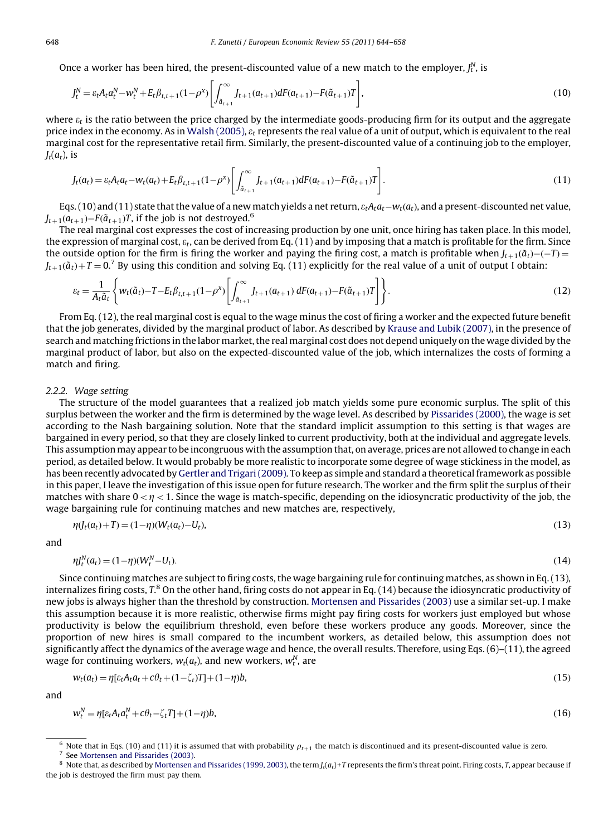Once a worker has been hired, the present-discounted value of a new match to the employer,  $J_t^N$ , is

$$
J_t^N = \varepsilon_t A_t a_t^N - w_t^N + E_t \beta_{t,t+1} (1 - \rho^X) \left[ \int_{\tilde{a}_{t+1}}^{\infty} J_{t+1}(a_{t+1}) dF(a_{t+1}) - F(\tilde{a}_{t+1}) T \right],
$$
\n(10)

where  $\varepsilon_t$  is the ratio between the price charged by the intermediate goods-producing firm for its output and the aggregate price index in the economy. As in [Walsh \(2005\)](#page-14-0),  $\varepsilon_t$  represents the real value of a unit of output, which is equivalent to the real marginal cost for the representative retail firm. Similarly, the present-discounted value of a continuing job to the employer,  $J_t(a_t)$ , is

$$
J_t(a_t) = \varepsilon_t A_t a_t - w_t(a_t) + E_t \beta_{t,t+1} (1 - \rho^x) \left[ \int_{\tilde{a}_{t+1}}^{\infty} J_{t+1}(a_{t+1}) dF(a_{t+1}) - F(\tilde{a}_{t+1}) T \right].
$$
\n(11)

Eqs. (10) and (11) state that the value of a new match yields a net return,  $\varepsilon_t A_t a_t - w_t(a_t)$ , and a present-discounted net value,  $J_{t+1}(a_{t+1})-F(\tilde{a}_{t+1})T$ , if the job is not destroyed.<sup>6</sup>

The real marginal cost expresses the cost of increasing production by one unit, once hiring has taken place. In this model, the expression of marginal cost,  $\varepsilon_t$ , can be derived from Eq. (11) and by imposing that a match is profitable for the firm. Since the outside option for the firm is firing the worker and paying the firing cost, a match is profitable when  $J_{t+1}(\tilde{a}_t) - (-T) =$  $J_{t+1}(\tilde{a}_t) + T = 0$ . By using this condition and solving Eq. (11) explicitly for the real value of a unit of output I obtain:

$$
\varepsilon_t = \frac{1}{A_t \tilde{a}_t} \left\{ w_t(\tilde{a}_t) - T - E_t \beta_{t,t+1} (1 - \rho^x) \left[ \int_{\tilde{a}_{t+1}}^{\infty} J_{t+1}(a_{t+1}) dF(a_{t+1}) - F(\tilde{a}_{t+1}) T \right] \right\}.
$$
 (12)

From Eq. (12), the real marginal cost is equal to the wage minus the cost of firing a worker and the expected future benefit that the job generates, divided by the marginal product of labor. As described by [Krause and Lubik \(2007\),](#page-14-0) in the presence of search and matching frictions in the labor market, the real marginal cost does not depend uniquely on the wage divided by the marginal product of labor, but also on the expected-discounted value of the job, which internalizes the costs of forming a match and firing.

## 2.2.2. Wage setting

The structure of the model guarantees that a realized job match yields some pure economic surplus. The split of this surplus between the worker and the firm is determined by the wage level. As described by [Pissarides \(2000\),](#page-14-0) the wage is set according to the Nash bargaining solution. Note that the standard implicit assumption to this setting is that wages are bargained in every period, so that they are closely linked to current productivity, both at the individual and aggregate levels. This assumption may appear to be incongruous with the assumption that, on average, prices are not allowed to change in each period, as detailed below. It would probably be more realistic to incorporate some degree of wage stickiness in the model, as has been recently advocated by [Gertler and Trigari \(2009\)](#page-14-0). To keep as simple and standard a theoretical framework as possible in this paper, I leave the investigation of this issue open for future research. The worker and the firm split the surplus of their matches with share  $0 < \eta < 1$ . Since the wage is match-specific, depending on the idiosyncratic productivity of the job, the wage bargaining rule for continuing matches and new matches are, respectively,

$$
\eta(J_t(a_t) + T) = (1 - \eta)(W_t(a_t) - U_t),\tag{13}
$$

and

$$
\eta I_t^N(a_t) = (1 - \eta)(W_t^N - U_t). \tag{14}
$$

Since continuing matches are subject to firing costs, the wage bargaining rule for continuing matches, as shown in Eq. (13), internalizes firing costs,  $T$ .<sup>8</sup> On the other hand, firing costs do not appear in Eq. (14) because the idiosyncratic productivity of new jobs is always higher than the threshold by construction. [Mortensen and Pissarides \(2003\)](#page-14-0) use a similar set-up. I make this assumption because it is more realistic, otherwise firms might pay firing costs for workers just employed but whose productivity is below the equilibrium threshold, even before these workers produce any goods. Moreover, since the proportion of new hires is small compared to the incumbent workers, as detailed below, this assumption does not significantly affect the dynamics of the average wage and hence, the overall results. Therefore, using Eqs. (6)–(11), the agreed wage for continuing workers,  $w_t(a_t)$ , and new workers,  $w_t^N$ , are

$$
w_t(a_t) = \eta [ \varepsilon_t A_t a_t + c \theta_t + (1 - \zeta_t) T] + (1 - \eta) b, \tag{15}
$$

and

$$
w_t^N = \eta[\varepsilon_t A_t a_t^N + c\theta_t - \zeta_t T] + (1 - \eta)b,\tag{16}
$$

<sup>&</sup>lt;sup>6</sup> Note that in Eqs. (10) and (11) it is assumed that with probability  $\rho_{t+1}$  the match is discontinued and its present-discounted value is zero. <sup>7</sup> See [Mortensen and Pissarides \(2003\)](#page-14-0).

<sup>&</sup>lt;sup>8</sup> Note that, as described by [Mortensen and Pissarides \(1999, 2003\),](#page-14-0) the term  $J_f(a_t) + T$  represents the firm's threat point. Firing costs, T, appear because if the job is destroyed the firm must pay them.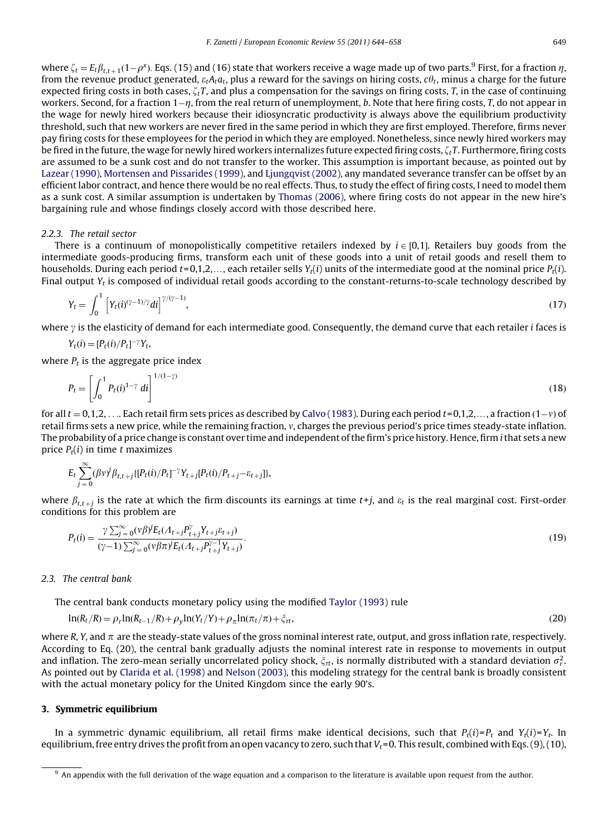where  $\zeta_t = E_t \beta_{t,t+1} (1-\rho^x)$ . Eqs. (15) and (16) state that workers receive a wage made up of two parts.<sup>9</sup> First, for a fraction  $\eta$ , from the revenue product generated,  $\varepsilon_t A_t a_t$ , plus a reward for the savings on hiring costs,  $c\theta_t$ , minus a charge for the future expected firing costs in both cases,  $\zeta_t T$ , and plus a compensation for the savings on firing costs, T, in the case of continuing workers. Second, for a fraction  $1-\eta$ , from the real return of unemployment, b. Note that here firing costs, T, do not appear in the wage for newly hired workers because their idiosyncratic productivity is always above the equilibrium productivity threshold, such that new workers are never fired in the same period in which they are first employed. Therefore, firms never pay firing costs for these employees for the period in which they are employed. Nonetheless, since newly hired workers may be fired in the future, the wage for newly hired workers internalizes future expected firing costs,  $\zeta_t$ . Furthermore, firing costs are assumed to be a sunk cost and do not transfer to the worker. This assumption is important because, as pointed out by [Lazear \(1990\),](#page-14-0) [Mortensen and Pissarides \(1999\)](#page-14-0), and [Ljungqvist \(2002\),](#page-14-0) any mandated severance transfer can be offset by an efficient labor contract, and hence there would be no real effects. Thus, to study the effect of firing costs, I need to model them as a sunk cost. A similar assumption is undertaken by [Thomas \(2006\)](#page-14-0), where firing costs do not appear in the new hire's bargaining rule and whose findings closely accord with those described here.

## 2.2.3. The retail sector

There is a continuum of monopolistically competitive retailers indexed by  $i \in [0,1]$ . Retailers buy goods from the intermediate goods-producing firms, transform each unit of these goods into a unit of retail goods and resell them to households. During each period  $t=0,1,2,...$ , each retailer sells Y<sub>t</sub>(i) units of the intermediate good at the nominal price  $P_t(i)$ . Final output  $Y_t$  is composed of individual retail goods according to the constant-returns-to-scale technology described by

$$
Y_t = \int_0^1 \left[ Y_t(i)^{(\gamma - 1)/\gamma} di \right]^{\gamma/(\gamma - 1)},\tag{17}
$$

where  $\gamma$  is the elasticity of demand for each intermediate good. Consequently, the demand curve that each retailer *i* faces is

$$
Y_t(i) = [P_t(i)/P_t]^{-\gamma} Y_t,
$$

where  $P_t$  is the aggregate price index

$$
P_t = \left[ \int_0^1 P_t(i)^{1-\gamma} \, di \right]^{1/(1-\gamma)} \tag{18}
$$

for all  $t = 0, 1, 2, \ldots$  Each retail firm sets prices as described by [Calvo \(1983\)](#page-14-0). During each period  $t = 0, 1, 2, \ldots$ , a fraction  $(1 - v)$  of retail firms sets a new price, while the remaining fraction, v, charges the previous period's price times steady-state inflation. The probability of a price change is constant over time and independent of the firm's price history. Hence, firm *i* that sets a new price  $P_t(i)$  in time t maximizes

$$
E_t\sum_{j=0}^{\infty}(\beta v)^j\beta_{t,t+j}\{[P_t(i)/P_t]^{-\gamma}Y_{t+j}[P_t(i)/P_{t+j}-\varepsilon_{t+j}]\},\,
$$

where  $\beta_{t,t+i}$  is the rate at which the firm discounts its earnings at time t+j, and  $\varepsilon_t$  is the real marginal cost. First-order conditions for this problem are

$$
P_t(i) = \frac{\gamma \sum_{j=0}^{\infty} (\nu \beta)^j E_t(A_{t+j} P_{t+j}^{\gamma} Y_{t+j} \varepsilon_{t+j})}{(\gamma - 1) \sum_{j=0}^{\infty} (\nu \beta \pi)^j E_t(A_{t+j} P_{t+j}^{\gamma - 1} Y_{t+j})}.
$$
(19)

### 2.3. The central bank

The central bank conducts monetary policy using the modified [Taylor \(1993\)](#page-14-0) rule

$$
\ln(R_t/R) = \rho_r \ln(R_{t-1}/R) + \rho_y \ln(Y_t/Y) + \rho_\pi \ln(\pi_t/\pi) + \xi_{rt},
$$
\n(20)

where R, Y, and  $\pi$  are the steady-state values of the gross nominal interest rate, output, and gross inflation rate, respectively. According to Eq. (20), the central bank gradually adjusts the nominal interest rate in response to movements in output and inflation. The zero-mean serially uncorrelated policy shock,  $\xi_{rt}$ , is normally distributed with a standard deviation  $\sigma_r^2$ . As pointed out by [Clarida et al. \(1998\)](#page-14-0) and [Nelson \(2003\)](#page-14-0), this modeling strategy for the central bank is broadly consistent with the actual monetary policy for the United Kingdom since the early 90's.

## 3. Symmetric equilibrium

In a symmetric dynamic equilibrium, all retail firms make identical decisions, such that  $P_t(i)=P_t$  and  $Y_t(i)=Y_t$ . In equilibrium, free entry drives the profit from an open vacancy to zero, such that  $V_t$ =0. This result, combined with Eqs. (9), (10),

 $9$  An appendix with the full derivation of the wage equation and a comparison to the literature is available upon request from the author.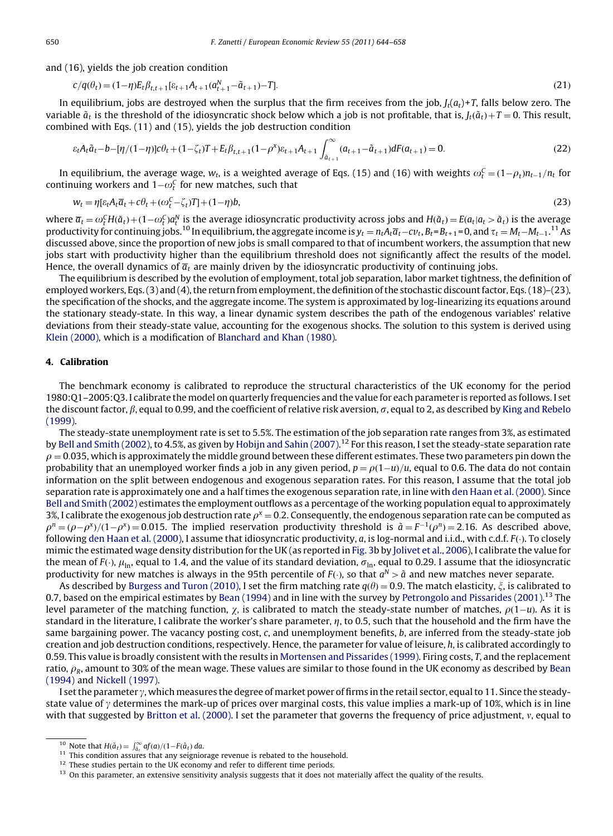and (16), yields the job creation condition

$$
c/q(\theta_t) = (1-\eta)E_t\beta_{t,t+1}[\varepsilon_{t+1}A_{t+1}(a_{t+1}^N - \tilde{a}_{t+1}) - T].
$$
\n(21)

In equilibrium, jobs are destroyed when the surplus that the firm receives from the job,  $J_f(a_t)+T$ , falls below zero. The variable  $\tilde{a}_t$  is the threshold of the idiosyncratic shock below which a job is not profitable, that is,  $J_t(\tilde{a}_t) + T = 0$ . This result, combined with Eqs. (11) and (15), yields the job destruction condition

$$
\varepsilon_t A_t \tilde{a}_t - b - [\eta/(1-\eta)]c\theta_t + (1-\zeta_t)T + E_t \beta_{t,t+1} (1-\rho^x)\varepsilon_{t+1} A_{t+1} \int_{\tilde{a}_{t+1}}^{\infty} (a_{t+1} - \tilde{a}_{t+1}) dF(a_{t+1}) = 0.
$$
\n(22)

In equilibrium, the average wage,  $w_t$ , is a weighted average of Eqs. (15) and (16) with weights  $\omega_t^C=(1-\rho_t)n_{t-1}/n_t$  for continuing workers and  $1-\omega_t^C$  for new matches, such that

$$
w_t = \eta [\varepsilon_t A_t \overline{a}_t + c\theta_t + (\omega_t^C - \zeta_t) T] + (1 - \eta)b,\tag{23}
$$

where  $\overline{a}_t = \omega_t^G H(\tilde{a}_t) + (1-\omega_t^G)a_t^N$  is the average idiosyncratic productivity across jobs and  $H(\tilde{a}_t) = E(a_t|a_t > \tilde{a}_t)$  is the average productivity for continuing jobs.<sup>10</sup> In equilibrium, the aggregate income is  $y_t=n_tA_t\overline{a}_t-cv_t$ ,  $B_t$ = $B_{t+1}$ =0, and  $\tau_t=$   $M_t$ – $M_{t-1}$ .<sup>11</sup> As discussed above, since the proportion of new jobs is small compared to that of incumbent workers, the assumption that new jobs start with productivity higher than the equilibrium threshold does not significantly affect the results of the model. Hence, the overall dynamics of  $\overline{a}_t$  are mainly driven by the idiosyncratic productivity of continuing jobs.

The equilibrium is described by the evolution of employment, total job separation, labor market tightness, the definition of employed workers, Eqs. (3) and (4), the return from employment, the definition of the stochastic discount factor, Eqs. (18)–(23), the specification of the shocks, and the aggregate income. The system is approximated by log-linearizing its equations around the stationary steady-state. In this way, a linear dynamic system describes the path of the endogenous variables' relative deviations from their steady-state value, accounting for the exogenous shocks. The solution to this system is derived using [Klein \(2000\),](#page-14-0) which is a modification of [Blanchard and Khan \(1980\).](#page-14-0)

## 4. Calibration

The benchmark economy is calibrated to reproduce the structural characteristics of the UK economy for the period 1980:Q1–2005:Q3. I calibrate the model on quarterly frequencies and the value for each parameter is reported as follows. I set the discount factor,  $\beta$ , equal to 0.99, and the coefficient of relative risk aversion,  $\sigma$ , equal to 2, as described by [King and Rebelo](#page-14-0) [\(1999\)](#page-14-0).

The steady-state unemployment rate is set to 5.5%. The estimation of the job separation rate ranges from 3%, as estimated by [Bell and Smith \(2002\)](#page-13-0), to 4.5%, as given by [Hobijn and Sahin \(2007\).](#page-14-0)<sup>12</sup> For this reason, I set the steady-state separation rate  $\rho$  = 0.035, which is approximately the middle ground between these different estimates. These two parameters pin down the probability that an unemployed worker finds a job in any given period,  $p = \rho(1-u)/u$ , equal to 0.6. The data do not contain information on the split between endogenous and exogenous separation rates. For this reason, I assume that the total job separation rate is approximately one and a half times the exogenous separation rate, in line with [den Haan et al. \(2000\)](#page-14-0). Since [Bell and Smith \(2002\)](#page-13-0) estimates the employment outflows as a percentage of the working population equal to approximately 3%, I calibrate the exogenous job destruction rate  $\rho^x = 0.2$ . Consequently, the endogenous separation rate can be computed as  $\rho^{n} = (\rho - \rho^{x})/(1 - \rho^{x}) = 0.015$ . The implied reservation productivity threshold is  $\tilde{a} = F^{-1}(\rho^{n}) = 2.16$ . As described above, following [den Haan et al. \(2000\)](#page-14-0), I assume that idiosyncratic productivity,  $a$ , is log-normal and i.i.d., with c.d.f.  $F(.)$ . To closely mimic the estimated wage density distribution for the UK (as reported in [Fig. 3](#page-9-0)b by [Jolivet et al., 2006](#page-14-0)), I calibrate the value for the mean of  $F(\cdot)$ ,  $\mu_{\text{In}}$ , equal to 1.4, and the value of its standard deviation,  $\sigma_{\text{In}}$ , equal to 0.29. I assume that the idiosyncratic productivity for new matches is always in the 95th percentile of  $F(\cdot)$ , so that  $a^N > \tilde{a}$  and new matches never separate.

As described by [Burgess and Turon \(2010\)](#page-14-0), I set the firm matching rate  $q(\theta) = 0.9$ . The match elasticity,  $\xi$ , is calibrated to 0.7, based on the empirical estimates by [Bean \(1994\)](#page-13-0) and in line with the survey by [Petrongolo and Pissarides \(2001\).](#page-14-0)<sup>13</sup> The level parameter of the matching function,  $\chi$ , is calibrated to match the steady-state number of matches,  $\rho(1-u)$ . As it is standard in the literature, I calibrate the worker's share parameter,  $\eta$ , to 0.5, such that the household and the firm have the same bargaining power. The vacancy posting cost, c, and unemployment benefits, b, are inferred from the steady-state job creation and job destruction conditions, respectively. Hence, the parameter for value of leisure, h, is calibrated accordingly to 0.59. This value is broadly consistent with the results in [Mortensen and Pissarides \(1999\)](#page-14-0). Firing costs, T, and the replacement ratio,  $\rho_R$ , amount to 30% of the mean wage. These values are similar to those found in the UK economy as described by [Bean](#page-13-0) [\(1994\)](#page-13-0) and [Nickell \(1997\)](#page-14-0).

I set the parameter  $\gamma$ , which measures the degree of market power of firms in the retail sector, equal to 11. Since the steadystate value of  $\gamma$  determines the mark-up of prices over marginal costs, this value implies a mark-up of 10%, which is in line with that suggested by [Britton et al. \(2000\)](#page-14-0). I set the parameter that governs the frequency of price adjustment,  $v$ , equal to

<sup>&</sup>lt;sup>10</sup> Note that  $H(\tilde{a}_t) = \int_{\tilde{a}_t}^{\infty} af(a)/(1 - F(\tilde{a}_t)) da$ .

 $11$  This condition assures that any seigniorage revenue is rebated to the household.

 $12$  These studies pertain to the UK economy and refer to different time periods.

<sup>&</sup>lt;sup>13</sup> On this parameter, an extensive sensitivity analysis suggests that it does not materially affect the quality of the results.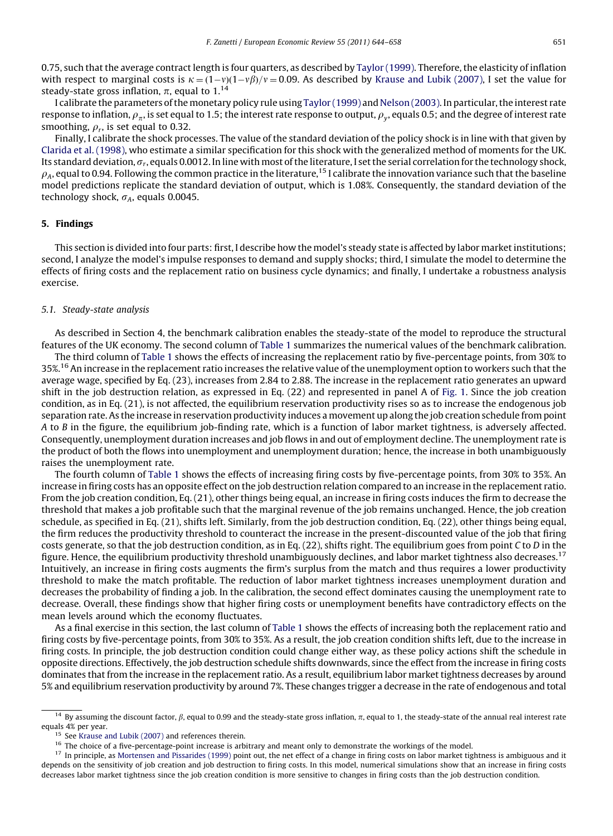0.75, such that the average contract length is four quarters, as described by [Taylor \(1999\).](#page-14-0) Therefore, the elasticity of inflation with respect to marginal costs is  $\kappa = (1-\nu)(1-\nu\beta)/\nu = 0.09$ . As described by [Krause and Lubik \(2007\),](#page-14-0) I set the value for steady-state gross inflation,  $\pi$ , equal to  $1.^{14}$ 

I calibrate the parameters of the monetary policy rule using [Taylor \(1999\)](#page-14-0) and [Nelson \(2003\).](#page-14-0) In particular, the interest rate response to inflation,  $\rho_{\pi}$ , is set equal to 1.5; the interest rate response to output,  $\rho_{\nu}$ , equals 0.5; and the degree of interest rate smoothing,  $\rho_r$ , is set equal to 0.32.

Finally, I calibrate the shock processes. The value of the standard deviation of the policy shock is in line with that given by [Clarida et al. \(1998\),](#page-14-0) who estimate a similar specification for this shock with the generalized method of moments for the UK. Its standard deviation,  $\sigma_r$ , equals 0.0012. In line with most of the literature, I set the serial correlation for the technology shock,  $\rho_A$ , equal to 0.94. Following the common practice in the literature,<sup>15</sup> I calibrate the innovation variance such that the baseline model predictions replicate the standard deviation of output, which is 1.08%. Consequently, the standard deviation of the technology shock,  $\sigma_A$ , equals 0.0045.

## 5. Findings

This section is divided into four parts: first, I describe how the model's steady state is affected by labor market institutions; second, I analyze the model's impulse responses to demand and supply shocks; third, I simulate the model to determine the effects of firing costs and the replacement ratio on business cycle dynamics; and finally, I undertake a robustness analysis exercise.

## 5.1. Steady-state analysis

As described in Section 4, the benchmark calibration enables the steady-state of the model to reproduce the structural features of the UK economy. The second column of [Table 1](#page-8-0) summarizes the numerical values of the benchmark calibration.

The third column of [Table 1](#page-8-0) shows the effects of increasing the replacement ratio by five-percentage points, from 30% to 35%.<sup>16</sup> An increase in the replacement ratio increases the relative value of the unemployment option to workers such that the average wage, specified by Eq. (23), increases from 2.84 to 2.88. The increase in the replacement ratio generates an upward shift in the job destruction relation, as expressed in Eq. (22) and represented in panel A of [Fig. 1.](#page-8-0) Since the job creation condition, as in Eq. (21), is not affected, the equilibrium reservation productivity rises so as to increase the endogenous job separation rate. As the increase in reservation productivity induces a movement up along the job creation schedule from point A to B in the figure, the equilibrium job-finding rate, which is a function of labor market tightness, is adversely affected. Consequently, unemployment duration increases and job flows in and out of employment decline. The unemployment rate is the product of both the flows into unemployment and unemployment duration; hence, the increase in both unambiguously raises the unemployment rate.

The fourth column of [Table 1](#page-8-0) shows the effects of increasing firing costs by five-percentage points, from 30% to 35%. An increase in firing costs has an opposite effect on the job destruction relation compared to an increase in the replacement ratio. From the job creation condition, Eq. (21), other things being equal, an increase in firing costs induces the firm to decrease the threshold that makes a job profitable such that the marginal revenue of the job remains unchanged. Hence, the job creation schedule, as specified in Eq. (21), shifts left. Similarly, from the job destruction condition, Eq. (22), other things being equal, the firm reduces the productivity threshold to counteract the increase in the present-discounted value of the job that firing costs generate, so that the job destruction condition, as in Eq.  $(22)$ , shifts right. The equilibrium goes from point C to D in the figure. Hence, the equilibrium productivity threshold unambiguously declines, and labor market tightness also decreases.<sup>17</sup> Intuitively, an increase in firing costs augments the firm's surplus from the match and thus requires a lower productivity threshold to make the match profitable. The reduction of labor market tightness increases unemployment duration and decreases the probability of finding a job. In the calibration, the second effect dominates causing the unemployment rate to decrease. Overall, these findings show that higher firing costs or unemployment benefits have contradictory effects on the mean levels around which the economy fluctuates.

As a final exercise in this section, the last column of [Table 1](#page-8-0) shows the effects of increasing both the replacement ratio and firing costs by five-percentage points, from 30% to 35%. As a result, the job creation condition shifts left, due to the increase in firing costs. In principle, the job destruction condition could change either way, as these policy actions shift the schedule in opposite directions. Effectively, the job destruction schedule shifts downwards, since the effect from the increase in firing costs dominates that from the increase in the replacement ratio. As a result, equilibrium labor market tightness decreases by around 5% and equilibrium reservation productivity by around 7%. These changes trigger a decrease in the rate of endogenous and total

<sup>&</sup>lt;sup>14</sup> By assuming the discount factor,  $\beta$ , equal to 0.99 and the steady-state gross inflation,  $\pi$ , equal to 1, the steady-state of the annual real interest rate equals 4% per year.

<sup>&</sup>lt;sup>15</sup> See [Krause and Lubik \(2007\)](#page-14-0) and references therein.

 $16$  The choice of a five-percentage-point increase is arbitrary and meant only to demonstrate the workings of the model.

<sup>&</sup>lt;sup>17</sup> In principle, as [Mortensen and Pissarides \(1999\)](#page-14-0) point out, the net effect of a change in firing costs on labor market tightness is ambiguous and it depends on the sensitivity of job creation and job destruction to firing costs. In this model, numerical simulations show that an increase in firing costs decreases labor market tightness since the job creation condition is more sensitive to changes in firing costs than the job destruction condition.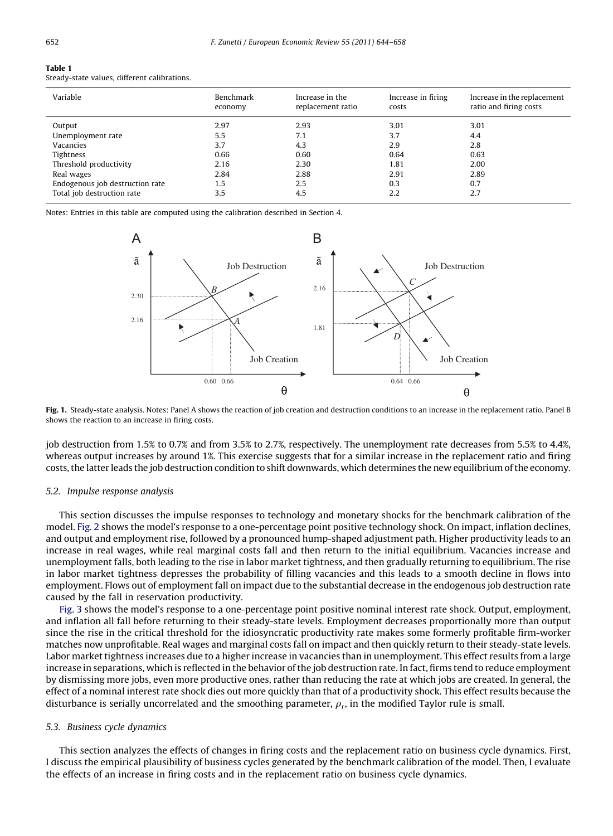<span id="page-8-0"></span>

| Table 1                                      |  |
|----------------------------------------------|--|
| Steady-state values, different calibrations. |  |

| Variable                        | Benchmark<br>economy | Increase in the<br>replacement ratio | Increase in firing<br>costs | Increase in the replacement<br>ratio and firing costs |
|---------------------------------|----------------------|--------------------------------------|-----------------------------|-------------------------------------------------------|
| Output                          | 2.97                 | 2.93                                 | 3.01                        | 3.01                                                  |
| Unemployment rate               | 5.5                  | 7.1                                  | 3.7                         | 4.4                                                   |
| Vacancies                       | 3.7                  | 4.3                                  | 2.9                         | 2.8                                                   |
| Tightness                       | 0.66                 | 0.60                                 | 0.64                        | 0.63                                                  |
| Threshold productivity          | 2.16                 | 2.30                                 | 1.81                        | 2.00                                                  |
| Real wages                      | 2.84                 | 2.88                                 | 2.91                        | 2.89                                                  |
| Endogenous job destruction rate | 1.5                  | 2.5                                  | 0.3                         | 0.7                                                   |
| Total job destruction rate      | 3.5                  | 4.5                                  | 2.2                         | 2.7                                                   |

Notes: Entries in this table are computed using the calibration described in Section 4.



Fig. 1. Steady-state analysis. Notes: Panel A shows the reaction of job creation and destruction conditions to an increase in the replacement ratio. Panel B shows the reaction to an increase in firing costs.

job destruction from 1.5% to 0.7% and from 3.5% to 2.7%, respectively. The unemployment rate decreases from 5.5% to 4.4%, whereas output increases by around 1%. This exercise suggests that for a similar increase in the replacement ratio and firing costs, the latter leads the job destruction condition to shift downwards, which determines the new equilibrium of the economy.

## 5.2. Impulse response analysis

This section discusses the impulse responses to technology and monetary shocks for the benchmark calibration of the model. [Fig. 2](#page-9-0) shows the model's response to a one-percentage point positive technology shock. On impact, inflation declines, and output and employment rise, followed by a pronounced hump-shaped adjustment path. Higher productivity leads to an increase in real wages, while real marginal costs fall and then return to the initial equilibrium. Vacancies increase and unemployment falls, both leading to the rise in labor market tightness, and then gradually returning to equilibrium. The rise in labor market tightness depresses the probability of filling vacancies and this leads to a smooth decline in flows into employment. Flows out of employment fall on impact due to the substantial decrease in the endogenous job destruction rate caused by the fall in reservation productivity.

[Fig. 3](#page-9-0) shows the model's response to a one-percentage point positive nominal interest rate shock. Output, employment, and inflation all fall before returning to their steady-state levels. Employment decreases proportionally more than output since the rise in the critical threshold for the idiosyncratic productivity rate makes some formerly profitable firm-worker matches now unprofitable. Real wages and marginal costs fall on impact and then quickly return to their steady-state levels. Labor market tightness increases due to a higher increase in vacancies than in unemployment. This effect results from a large increase in separations, which is reflected in the behavior of the job destruction rate. In fact, firms tend to reduce employment by dismissing more jobs, even more productive ones, rather than reducing the rate at which jobs are created. In general, the effect of a nominal interest rate shock dies out more quickly than that of a productivity shock. This effect results because the disturbance is serially uncorrelated and the smoothing parameter,  $\rho_r$ , in the modified Taylor rule is small.

## 5.3. Business cycle dynamics

This section analyzes the effects of changes in firing costs and the replacement ratio on business cycle dynamics. First, I discuss the empirical plausibility of business cycles generated by the benchmark calibration of the model. Then, I evaluate the effects of an increase in firing costs and in the replacement ratio on business cycle dynamics.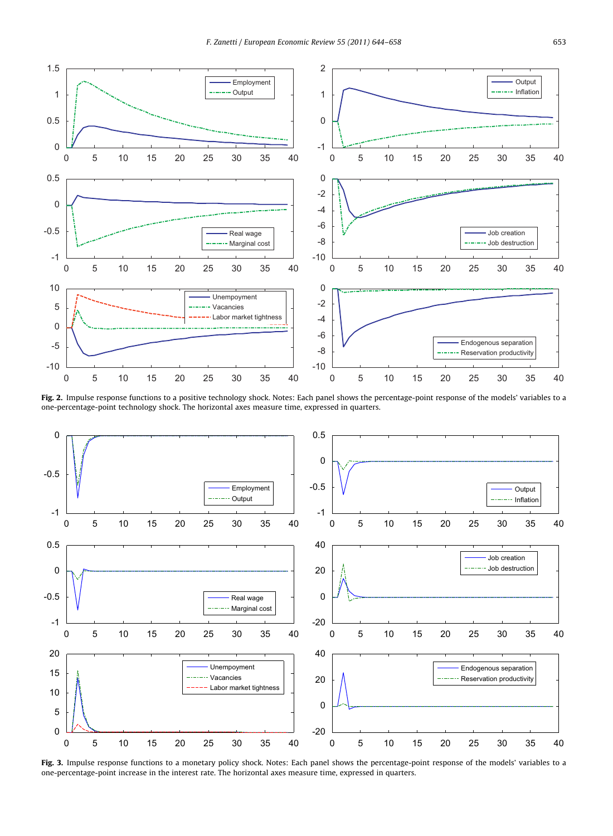<span id="page-9-0"></span>

Fig. 2. Impulse response functions to a positive technology shock. Notes: Each panel shows the percentage-point response of the models' variables to a one-percentage-point technology shock. The horizontal axes measure time, expressed in quarters.



Fig. 3. Impulse response functions to a monetary policy shock. Notes: Each panel shows the percentage-point response of the models' variables to a one-percentage-point increase in the interest rate. The horizontal axes measure time, expressed in quarters.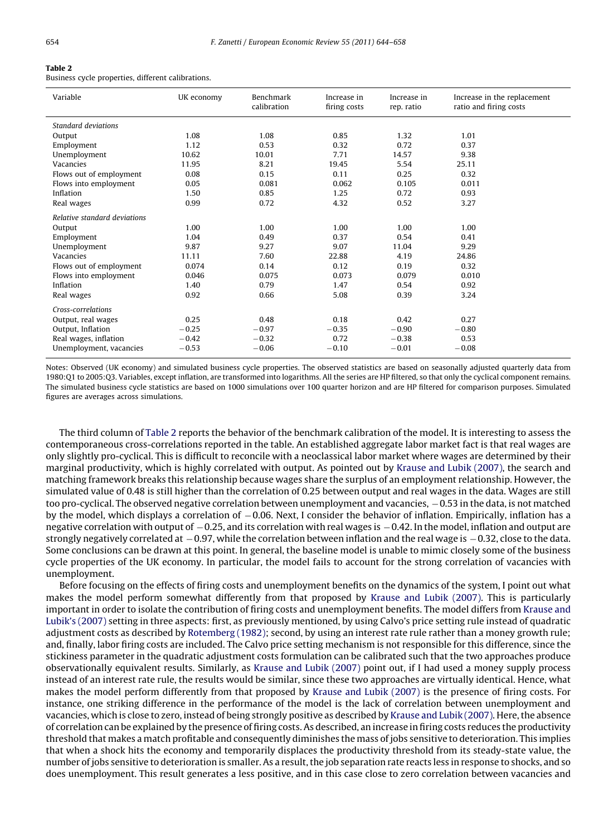#### <span id="page-10-0"></span>Table 2

Business cycle properties, different calibrations.

| Variable                     | UK economy | Benchmark<br>calibration | Increase in<br>firing costs | Increase in<br>rep. ratio | Increase in the replacement<br>ratio and firing costs |
|------------------------------|------------|--------------------------|-----------------------------|---------------------------|-------------------------------------------------------|
| <b>Standard deviations</b>   |            |                          |                             |                           |                                                       |
| Output                       | 1.08       | 1.08                     | 0.85                        | 1.32                      | 1.01                                                  |
| Employment                   | 1.12       | 0.53                     | 0.32                        | 0.72                      | 0.37                                                  |
| Unemployment                 | 10.62      | 10.01                    | 7.71                        | 14.57                     | 9.38                                                  |
| Vacancies                    | 11.95      | 8.21                     | 19.45                       | 5.54                      | 25.11                                                 |
| Flows out of employment      | 0.08       | 0.15                     | 0.11                        | 0.25                      | 0.32                                                  |
| Flows into employment        | 0.05       | 0.081                    | 0.062                       | 0.105                     | 0.011                                                 |
| Inflation                    | 1.50       | 0.85                     | 1.25                        | 0.72                      | 0.93                                                  |
| Real wages                   | 0.99       | 0.72                     | 4.32                        | 0.52                      | 3.27                                                  |
| Relative standard deviations |            |                          |                             |                           |                                                       |
| Output                       | 1.00       | 1.00                     | 1.00                        | 1.00                      | 1.00                                                  |
| Employment                   | 1.04       | 0.49                     | 0.37                        | 0.54                      | 0.41                                                  |
| Unemployment                 | 9.87       | 9.27                     | 9.07                        | 11.04                     | 9.29                                                  |
| Vacancies                    | 11.11      | 7.60                     | 22.88                       | 4.19                      | 24.86                                                 |
| Flows out of employment      | 0.074      | 0.14                     | 0.12                        | 0.19                      | 0.32                                                  |
| Flows into employment        | 0.046      | 0.075                    | 0.073                       | 0.079                     | 0.010                                                 |
| Inflation                    | 1.40       | 0.79                     | 1.47                        | 0.54                      | 0.92                                                  |
| Real wages                   | 0.92       | 0.66                     | 5.08                        | 0.39                      | 3.24                                                  |
| Cross-correlations           |            |                          |                             |                           |                                                       |
| Output, real wages           | 0.25       | 0.48                     | 0.18                        | 0.42                      | 0.27                                                  |
| Output, Inflation            | $-0.25$    | $-0.97$                  | $-0.35$                     | $-0.90$                   | $-0.80$                                               |
| Real wages, inflation        | $-0.42$    | $-0.32$                  | 0.72                        | $-0.38$                   | 0.53                                                  |
| Unemployment, vacancies      | $-0.53$    | $-0.06$                  | $-0.10$                     | $-0.01$                   | $-0.08$                                               |

Notes: Observed (UK economy) and simulated business cycle properties. The observed statistics are based on seasonally adjusted quarterly data from 1980:Q1 to 2005:Q3. Variables, except inflation, are transformed into logarithms. All the series are HP filtered, so that only the cyclical component remains. The simulated business cycle statistics are based on 1000 simulations over 100 quarter horizon and are HP filtered for comparison purposes. Simulated figures are averages across simulations.

The third column of Table 2 reports the behavior of the benchmark calibration of the model. It is interesting to assess the contemporaneous cross-correlations reported in the table. An established aggregate labor market fact is that real wages are only slightly pro-cyclical. This is difficult to reconcile with a neoclassical labor market where wages are determined by their marginal productivity, which is highly correlated with output. As pointed out by [Krause and Lubik \(2007\)](#page-14-0), the search and matching framework breaks this relationship because wages share the surplus of an employment relationship. However, the simulated value of 0.48 is still higher than the correlation of 0.25 between output and real wages in the data. Wages are still too pro-cyclical. The observed negative correlation between unemployment and vacancies,  $-0.53$  in the data, is not matched by the model, which displays a correlation of  $-0.06$ . Next, I consider the behavior of inflation. Empirically, inflation has a negative correlation with output of  $-0.25$ , and its correlation with real wages is  $-0.42$ . In the model, inflation and output are strongly negatively correlated at  $-0.97$ , while the correlation between inflation and the real wage is  $-0.32$ , close to the data. Some conclusions can be drawn at this point. In general, the baseline model is unable to mimic closely some of the business cycle properties of the UK economy. In particular, the model fails to account for the strong correlation of vacancies with unemployment.

Before focusing on the effects of firing costs and unemployment benefits on the dynamics of the system, I point out what makes the model perform somewhat differently from that proposed by [Krause and Lubik \(2007\)](#page-14-0). This is particularly important in order to isolate the contribution of firing costs and unemployment benefits. The model differs from [Krause and](#page-14-0) [Lubik's \(2007\)](#page-14-0) setting in three aspects: first, as previously mentioned, by using Calvo's price setting rule instead of quadratic adjustment costs as described by [Rotemberg \(1982\);](#page-14-0) second, by using an interest rate rule rather than a money growth rule; and, finally, labor firing costs are included. The Calvo price setting mechanism is not responsible for this difference, since the stickiness parameter in the quadratic adjustment costs formulation can be calibrated such that the two approaches produce observationally equivalent results. Similarly, as [Krause and Lubik \(2007\)](#page-14-0) point out, if I had used a money supply process instead of an interest rate rule, the results would be similar, since these two approaches are virtually identical. Hence, what makes the model perform differently from that proposed by [Krause and Lubik \(2007\)](#page-14-0) is the presence of firing costs. For instance, one striking difference in the performance of the model is the lack of correlation between unemployment and vacancies, which is close to zero, instead of being strongly positive as described by [Krause and Lubik \(2007\).](#page-14-0) Here, the absence of correlation can be explained by the presence of firing costs. As described, an increase in firing costs reduces the productivity threshold that makes a match profitable and consequently diminishes the mass of jobs sensitive to deterioration. This implies that when a shock hits the economy and temporarily displaces the productivity threshold from its steady-state value, the number of jobs sensitive to deterioration is smaller. As a result, the job separation rate reacts less in response to shocks, and so does unemployment. This result generates a less positive, and in this case close to zero correlation between vacancies and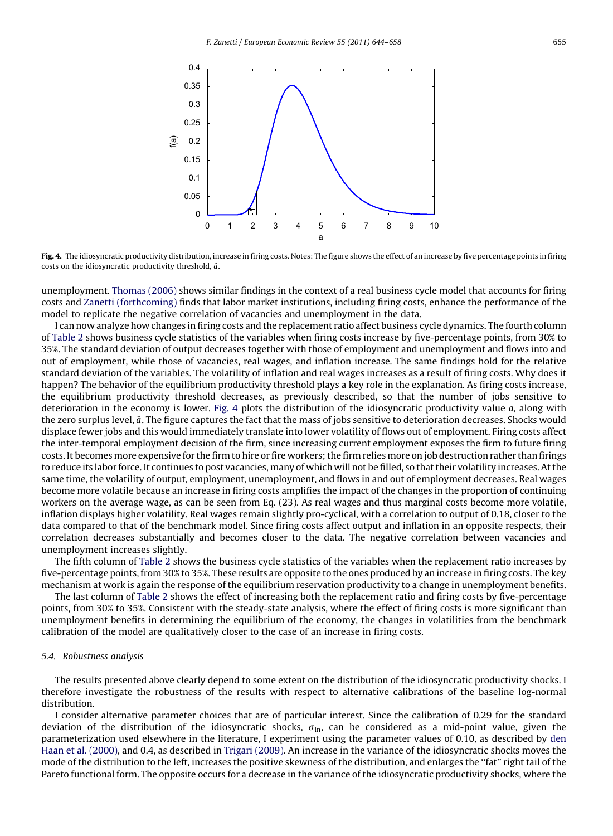

Fig. 4. The idiosyncratic productivity distribution, increase in firing costs. Notes: The figure shows the effect of an increase by five percentage points in firing costs on the idiosyncratic productivity threshold,  $\tilde{a}$ .

unemployment. [Thomas \(2006\)](#page-14-0) shows similar findings in the context of a real business cycle model that accounts for firing costs and [Zanetti \(forthcoming\)](#page-14-0) finds that labor market institutions, including firing costs, enhance the performance of the model to replicate the negative correlation of vacancies and unemployment in the data.

I can now analyze how changes in firing costs and the replacement ratio affect business cycle dynamics. The fourth column of [Table 2](#page-10-0) shows business cycle statistics of the variables when firing costs increase by five-percentage points, from 30% to 35%. The standard deviation of output decreases together with those of employment and unemployment and flows into and out of employment, while those of vacancies, real wages, and inflation increase. The same findings hold for the relative standard deviation of the variables. The volatility of inflation and real wages increases as a result of firing costs. Why does it happen? The behavior of the equilibrium productivity threshold plays a key role in the explanation. As firing costs increase, the equilibrium productivity threshold decreases, as previously described, so that the number of jobs sensitive to deterioration in the economy is lower. Fig. 4 plots the distribution of the idiosyncratic productivity value a, along with the zero surplus level,  $\tilde{a}$ . The figure captures the fact that the mass of jobs sensitive to deterioration decreases. Shocks would displace fewer jobs and this would immediately translate into lower volatility of flows out of employment. Firing costs affect the inter-temporal employment decision of the firm, since increasing current employment exposes the firm to future firing costs. It becomes more expensive for the firm to hire or fire workers; the firm relies more on job destruction rather than firings to reduce its labor force. It continues to post vacancies, many of which will not be filled, so that their volatility increases. At the same time, the volatility of output, employment, unemployment, and flows in and out of employment decreases. Real wages become more volatile because an increase in firing costs amplifies the impact of the changes in the proportion of continuing workers on the average wage, as can be seen from Eq. (23). As real wages and thus marginal costs become more volatile, inflation displays higher volatility. Real wages remain slightly pro-cyclical, with a correlation to output of 0.18, closer to the data compared to that of the benchmark model. Since firing costs affect output and inflation in an opposite respects, their correlation decreases substantially and becomes closer to the data. The negative correlation between vacancies and unemployment increases slightly.

The fifth column of [Table 2](#page-10-0) shows the business cycle statistics of the variables when the replacement ratio increases by five-percentage points, from 30% to 35%. These results are opposite to the ones produced by an increase in firing costs. The key mechanism at work is again the response of the equilibrium reservation productivity to a change in unemployment benefits.

The last column of [Table 2](#page-10-0) shows the effect of increasing both the replacement ratio and firing costs by five-percentage points, from 30% to 35%. Consistent with the steady-state analysis, where the effect of firing costs is more significant than unemployment benefits in determining the equilibrium of the economy, the changes in volatilities from the benchmark calibration of the model are qualitatively closer to the case of an increase in firing costs.

## 5.4. Robustness analysis

The results presented above clearly depend to some extent on the distribution of the idiosyncratic productivity shocks. I therefore investigate the robustness of the results with respect to alternative calibrations of the baseline log-normal distribution.

I consider alternative parameter choices that are of particular interest. Since the calibration of 0.29 for the standard deviation of the distribution of the idiosyncratic shocks,  $\sigma_{\text{ln}}$ , can be considered as a mid-point value, given the parameterization used elsewhere in the literature, I experiment using the parameter values of 0.10, as described by [den](#page-14-0) [Haan et al. \(2000\)](#page-14-0), and 0.4, as described in [Trigari \(2009\).](#page-14-0) An increase in the variance of the idiosyncratic shocks moves the mode of the distribution to the left, increases the positive skewness of the distribution, and enlarges the ''fat'' right tail of the Pareto functional form. The opposite occurs for a decrease in the variance of the idiosyncratic productivity shocks, where the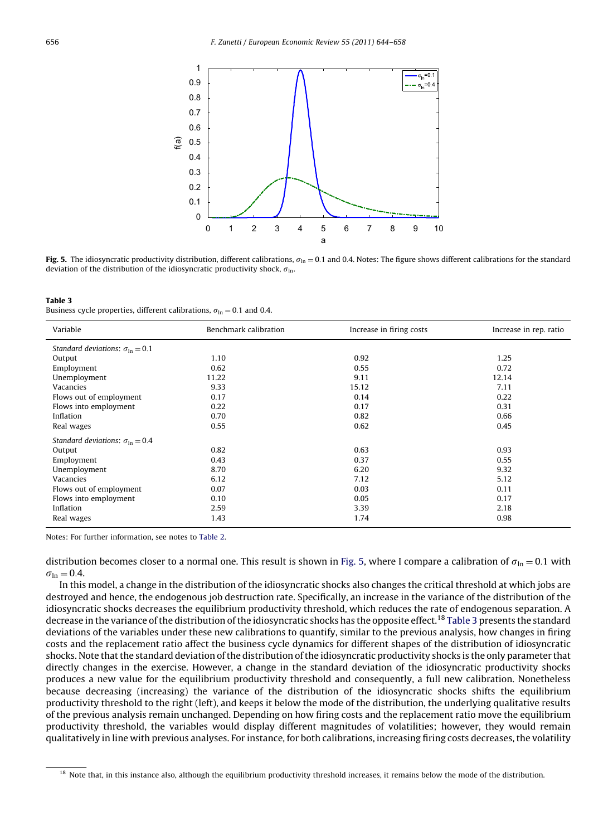

Fig. 5. The idiosyncratic productivity distribution, different calibrations,  $\sigma_{\ln} = 0.1$  and 0.4. Notes: The figure shows different calibrations for the standard deviation of the distribution of the idiosyncratic productivity shock,  $\sigma_{\ln}$ .

Table 3 Business cycle properties, different calibrations,  $\sigma_{\ln} = 0.1$  and 0.4.

| Variable                                        | Benchmark calibration | Increase in firing costs | Increase in rep. ratio |
|-------------------------------------------------|-----------------------|--------------------------|------------------------|
| Standard deviations: $\sigma_{\ln} = 0.1$       |                       |                          |                        |
| Output                                          | 1.10                  | 0.92                     | 1.25                   |
| Employment                                      | 0.62                  | 0.55                     | 0.72                   |
| Unemployment                                    | 11.22                 | 9.11                     | 12.14                  |
| Vacancies                                       | 9.33                  | 15.12                    | 7.11                   |
| Flows out of employment                         | 0.17                  | 0.14                     | 0.22                   |
| Flows into employment                           | 0.22                  | 0.17                     | 0.31                   |
| Inflation                                       | 0.70                  | 0.82                     | 0.66                   |
| Real wages                                      | 0.55                  | 0.62                     | 0.45                   |
| Standard deviations: $\sigma_{\text{ln}} = 0.4$ |                       |                          |                        |
| Output                                          | 0.82                  | 0.63                     | 0.93                   |
| Employment                                      | 0.43                  | 0.37                     | 0.55                   |
| Unemployment                                    | 8.70                  | 6.20                     | 9.32                   |
| Vacancies                                       | 6.12                  | 7.12                     | 5.12                   |
| Flows out of employment                         | 0.07                  | 0.03                     | 0.11                   |
| Flows into employment                           | 0.10                  | 0.05                     | 0.17                   |
| Inflation                                       | 2.59                  | 3.39                     | 2.18                   |
| Real wages                                      | 1.43                  | 1.74                     | 0.98                   |

Notes: For further information, see notes to [Table 2](#page-10-0).

distribution becomes closer to a normal one. This result is shown in Fig. 5, where I compare a calibration of  $\sigma_{\ln} = 0.1$  with  $\sigma_{\text{ln}} = 0.4.$ 

In this model, a change in the distribution of the idiosyncratic shocks also changes the critical threshold at which jobs are destroyed and hence, the endogenous job destruction rate. Specifically, an increase in the variance of the distribution of the idiosyncratic shocks decreases the equilibrium productivity threshold, which reduces the rate of endogenous separation. A decrease in the variance of the distribution of the idiosyncratic shocks has the opposite effect.<sup>18</sup> Table 3 presents the standard deviations of the variables under these new calibrations to quantify, similar to the previous analysis, how changes in firing costs and the replacement ratio affect the business cycle dynamics for different shapes of the distribution of idiosyncratic shocks. Note that the standard deviation of the distribution of the idiosyncratic productivity shocks is the only parameter that directly changes in the exercise. However, a change in the standard deviation of the idiosyncratic productivity shocks produces a new value for the equilibrium productivity threshold and consequently, a full new calibration. Nonetheless because decreasing (increasing) the variance of the distribution of the idiosyncratic shocks shifts the equilibrium productivity threshold to the right (left), and keeps it below the mode of the distribution, the underlying qualitative results of the previous analysis remain unchanged. Depending on how firing costs and the replacement ratio move the equilibrium productivity threshold, the variables would display different magnitudes of volatilities; however, they would remain qualitatively in line with previous analyses. For instance, for both calibrations, increasing firing costs decreases, the volatility

<sup>&</sup>lt;sup>18</sup> Note that, in this instance also, although the equilibrium productivity threshold increases, it remains below the mode of the distribution.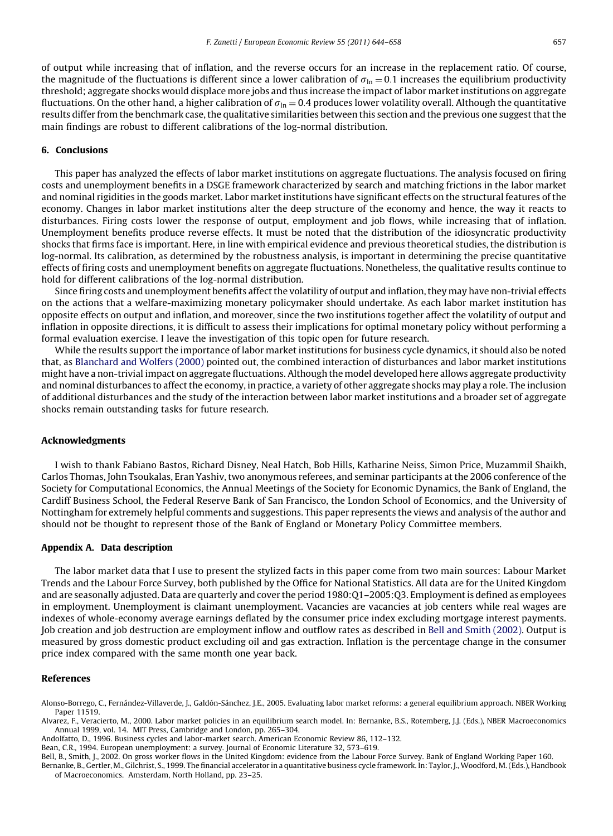<span id="page-13-0"></span>of output while increasing that of inflation, and the reverse occurs for an increase in the replacement ratio. Of course, the magnitude of the fluctuations is different since a lower calibration of  $\sigma_{\ln} = 0.1$  increases the equilibrium productivity threshold; aggregate shocks would displace more jobs and thus increase the impact of labor market institutions on aggregate fluctuations. On the other hand, a higher calibration of  $\sigma_{\ln} = 0.4$  produces lower volatility overall. Although the quantitative results differ from the benchmark case, the qualitative similarities between this section and the previous one suggest that the main findings are robust to different calibrations of the log-normal distribution.

## 6. Conclusions

This paper has analyzed the effects of labor market institutions on aggregate fluctuations. The analysis focused on firing costs and unemployment benefits in a DSGE framework characterized by search and matching frictions in the labor market and nominal rigidities in the goods market. Labor market institutions have significant effects on the structural features of the economy. Changes in labor market institutions alter the deep structure of the economy and hence, the way it reacts to disturbances. Firing costs lower the response of output, employment and job flows, while increasing that of inflation. Unemployment benefits produce reverse effects. It must be noted that the distribution of the idiosyncratic productivity shocks that firms face is important. Here, in line with empirical evidence and previous theoretical studies, the distribution is log-normal. Its calibration, as determined by the robustness analysis, is important in determining the precise quantitative effects of firing costs and unemployment benefits on aggregate fluctuations. Nonetheless, the qualitative results continue to hold for different calibrations of the log-normal distribution.

Since firing costs and unemployment benefits affect the volatility of output and inflation, they may have non-trivial effects on the actions that a welfare-maximizing monetary policymaker should undertake. As each labor market institution has opposite effects on output and inflation, and moreover, since the two institutions together affect the volatility of output and inflation in opposite directions, it is difficult to assess their implications for optimal monetary policy without performing a formal evaluation exercise. I leave the investigation of this topic open for future research.

While the results support the importance of labor market institutions for business cycle dynamics, it should also be noted that, as [Blanchard and Wolfers \(2000\)](#page-14-0) pointed out, the combined interaction of disturbances and labor market institutions might have a non-trivial impact on aggregate fluctuations. Although the model developed here allows aggregate productivity and nominal disturbances to affect the economy, in practice, a variety of other aggregate shocks may play a role. The inclusion of additional disturbances and the study of the interaction between labor market institutions and a broader set of aggregate shocks remain outstanding tasks for future research.

## Acknowledgments

I wish to thank Fabiano Bastos, Richard Disney, Neal Hatch, Bob Hills, Katharine Neiss, Simon Price, Muzammil Shaikh, Carlos Thomas, John Tsoukalas, Eran Yashiv, two anonymous referees, and seminar participants at the 2006 conference of the Society for Computational Economics, the Annual Meetings of the Society for Economic Dynamics, the Bank of England, the Cardiff Business School, the Federal Reserve Bank of San Francisco, the London School of Economics, and the University of Nottingham for extremely helpful comments and suggestions. This paper represents the views and analysis of the author and should not be thought to represent those of the Bank of England or Monetary Policy Committee members.

## Appendix A. Data description

The labor market data that I use to present the stylized facts in this paper come from two main sources: Labour Market Trends and the Labour Force Survey, both published by the Office for National Statistics. All data are for the United Kingdom and are seasonally adjusted. Data are quarterly and cover the period 1980:Q1–2005:Q3. Employment is defined as employees in employment. Unemployment is claimant unemployment. Vacancies are vacancies at job centers while real wages are indexes of whole-economy average earnings deflated by the consumer price index excluding mortgage interest payments. Job creation and job destruction are employment inflow and outflow rates as described in Bell and Smith (2002). Output is measured by gross domestic product excluding oil and gas extraction. Inflation is the percentage change in the consumer price index compared with the same month one year back.

### References

Alonso-Borrego, C., Fernández-Villaverde, J., Galdón-Sánchez, J.E., 2005. Evaluating labor market reforms: a general equilibrium approach. NBER Working Paper 11519.

Alvarez, F., Veracierto, M., 2000. Labor market policies in an equilibrium search model. In: Bernanke, B.S., Rotemberg, J.J. (Eds.), NBER Macroeconomics Annual 1999, vol. 14. MIT Press, Cambridge and London, pp. 265–304.

Andolfatto, D., 1996. Business cycles and labor-market search. American Economic Review 86, 112–132.

Bean, C.R., 1994. European unemployment: a survey. Journal of Economic Literature 32, 573–619.

Bell, B., Smith, J., 2002. On gross worker flows in the United Kingdom: evidence from the Labour Force Survey. Bank of England Working Paper 160. Bernanke, B., Gertler, M., Gilchrist, S., 1999. The financial accelerator in a quantitative business cycle framework. In: Taylor, J., Woodford, M. (Eds.), Handbook of Macroeconomics. Amsterdam, North Holland, pp. 23–25.